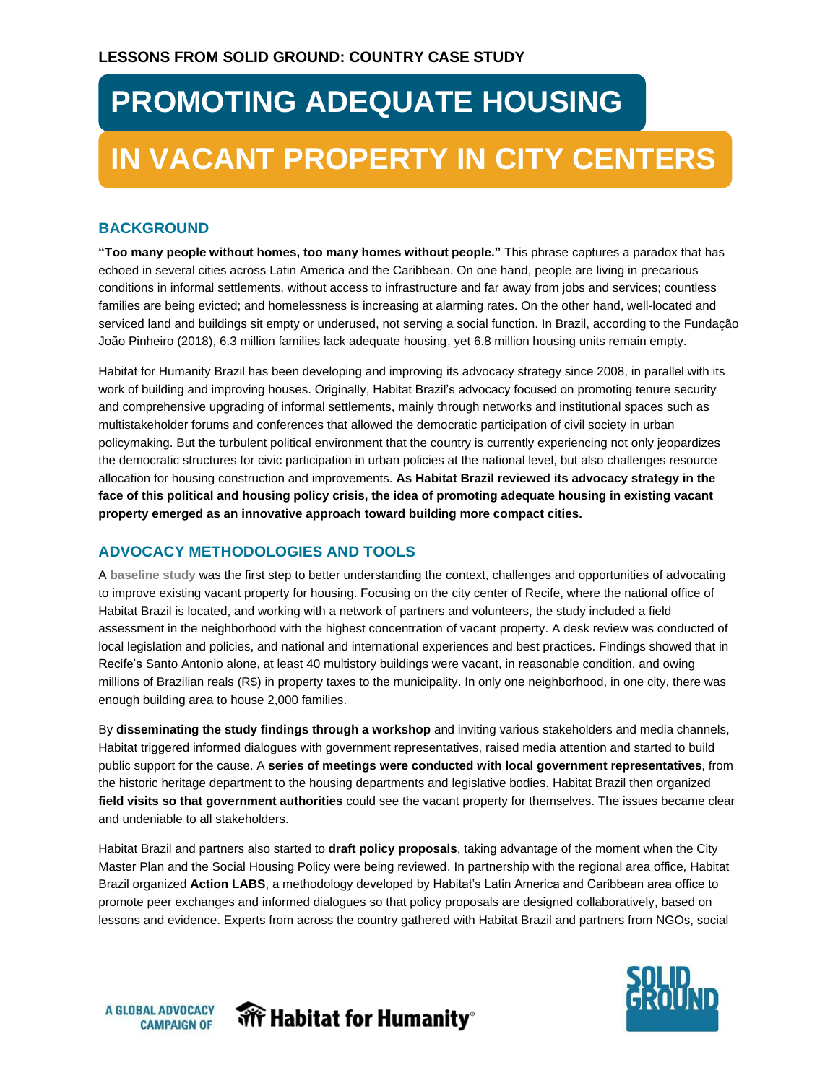# **PROMOTING ADEQUATE HOUSING IN VACANT PROPERTY IN CITY CENTERS**

### **BACKGROUND**

**"Too many people without homes, too many homes without people."** This phrase captures a paradox that has echoed in several cities across Latin America and the Caribbean. On one hand, people are living in precarious conditions in informal settlements, without access to infrastructure and far away from jobs and services; countless families are being evicted; and homelessness is increasing at alarming rates. On the other hand, well-located and serviced land and buildings sit empty or underused, not serving a social function. In Brazil, according to the Fundação João Pinheiro (2018), 6.3 million families lack adequate housing, yet 6.8 million housing units remain empty.

Habitat for Humanity Brazil has been developing and improving its advocacy strategy since 2008, in parallel with its work of building and improving houses. Originally, Habitat Brazil's advocacy focused on promoting tenure security and comprehensive upgrading of informal settlements, mainly through networks and institutional spaces such as multistakeholder forums and conferences that allowed the democratic participation of civil society in urban policymaking. But the turbulent political environment that the country is currently experiencing not only jeopardizes the democratic structures for civic participation in urban policies at the national level, but also challenges resource allocation for housing construction and improvements. **As Habitat Brazil reviewed its advocacy strategy in the face of this political and housing policy crisis, the idea of promoting adequate housing in existing vacant property emerged as an innovative approach toward building more compact cities.**

#### **ADVOCACY METHODOLOGIES AND TOOLS**

A **[baseline study](http://solidgroundcampaign.org/blog/habitat-brazil%E2%80%99s-innovative-advocacy-sustainable-urbanization)** was the first step to better understanding the context, challenges and opportunities of advocating to improve existing vacant property for housing. Focusing on the city center of Recife, where the national office of Habitat Brazil is located, and working with a network of partners and volunteers, the study included a field assessment in the neighborhood with the highest concentration of vacant property. A desk review was conducted of local legislation and policies, and national and international experiences and best practices. Findings showed that in Recife's Santo Antonio alone, at least 40 multistory buildings were vacant, in reasonable condition, and owing millions of Brazilian reals (R\$) in property taxes to the municipality. In only one neighborhood, in one city, there was enough building area to house 2,000 families.

By **disseminating the study findings through a workshop** and inviting various stakeholders and media channels, Habitat triggered informed dialogues with government representatives, raised media attention and started to build public support for the cause. A **series of meetings were conducted with local government representatives**, from the historic heritage department to the housing departments and legislative bodies. Habitat Brazil then organized **field visits so that government authorities** could see the vacant property for themselves. The issues became clear and undeniable to all stakeholders.

Habitat Brazil and partners also started to **draft policy proposals**, taking advantage of the moment when the City Master Plan and the Social Housing Policy were being reviewed. In partnership with the regional area office, Habitat Brazil organized **Action LABS**, a methodology developed by Habitat's Latin America and Caribbean area office to promote peer exchanges and informed dialogues so that policy proposals are designed collaboratively, based on lessons and evidence. Experts from across the country gathered with Habitat Brazil and partners from NGOs, social



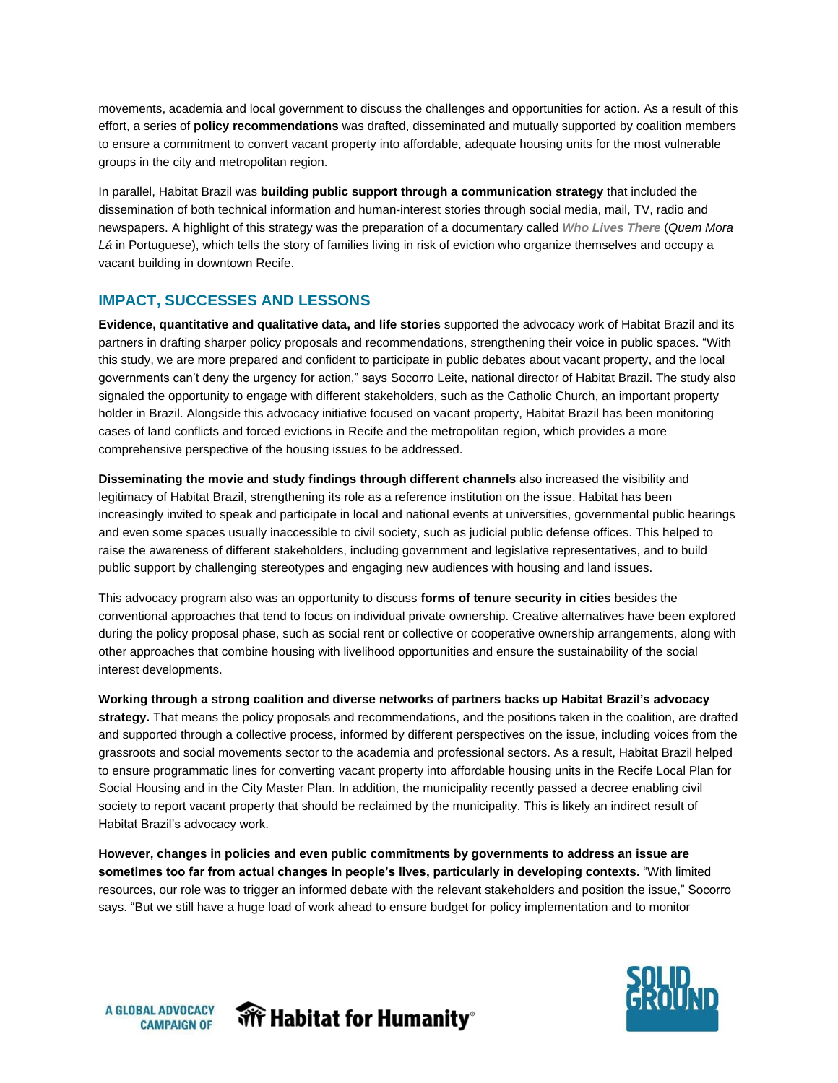movements, academia and local government to discuss the challenges and opportunities for action. As a result of this effort, a series of **policy recommendations** was drafted, disseminated and mutually supported by coalition members to ensure a commitment to convert vacant property into affordable, adequate housing units for the most vulnerable groups in the city and metropolitan region.

In parallel, Habitat Brazil was **building public support through a communication strategy** that included the dissemination of both technical information and human-interest stories through social media, mail, TV, radio and newspapers. A highlight of this strategy was the preparation of a documentary called *[Who Lives There](http://solidgroundcampaign.org/blog/who-lives-there-documentary-about-families-facing-eviction)* (*Quem Mora Lá* in Portuguese), which tells the story of families living in risk of eviction who organize themselves and occupy a vacant building in downtown Recife.

#### **IMPACT, SUCCESSES AND LESSONS**

**Evidence, quantitative and qualitative data, and life stories** supported the advocacy work of Habitat Brazil and its partners in drafting sharper policy proposals and recommendations, strengthening their voice in public spaces. "With this study, we are more prepared and confident to participate in public debates about vacant property, and the local governments can't deny the urgency for action," says Socorro Leite, national director of Habitat Brazil. The study also signaled the opportunity to engage with different stakeholders, such as the Catholic Church, an important property holder in Brazil. Alongside this advocacy initiative focused on vacant property, Habitat Brazil has been monitoring cases of land conflicts and forced evictions in Recife and the metropolitan region, which provides a more comprehensive perspective of the housing issues to be addressed.

**Disseminating the movie and study findings through different channels** also increased the visibility and legitimacy of Habitat Brazil, strengthening its role as a reference institution on the issue. Habitat has been increasingly invited to speak and participate in local and national events at universities, governmental public hearings and even some spaces usually inaccessible to civil society, such as judicial public defense offices. This helped to raise the awareness of different stakeholders, including government and legislative representatives, and to build public support by challenging stereotypes and engaging new audiences with housing and land issues.

This advocacy program also was an opportunity to discuss **forms of tenure security in cities** besides the conventional approaches that tend to focus on individual private ownership. Creative alternatives have been explored during the policy proposal phase, such as social rent or collective or cooperative ownership arrangements, along with other approaches that combine housing with livelihood opportunities and ensure the sustainability of the social interest developments.

**Working through a strong coalition and diverse networks of partners backs up Habitat Brazil's advocacy strategy.** That means the policy proposals and recommendations, and the positions taken in the coalition, are drafted and supported through a collective process, informed by different perspectives on the issue, including voices from the grassroots and social movements sector to the academia and professional sectors. As a result, Habitat Brazil helped to ensure programmatic lines for converting vacant property into affordable housing units in the Recife Local Plan for Social Housing and in the City Master Plan. In addition, the municipality recently passed a decree enabling civil society to report vacant property that should be reclaimed by the municipality. This is likely an indirect result of Habitat Brazil's advocacy work.

**However, changes in policies and even public commitments by governments to address an issue are sometimes too far from actual changes in people's lives, particularly in developing contexts.** "With limited resources, our role was to trigger an informed debate with the relevant stakeholders and position the issue," Socorro says. "But we still have a huge load of work ahead to ensure budget for policy implementation and to monitor



**A GLOBAL ADVOCACY CAMPAIGN OF**